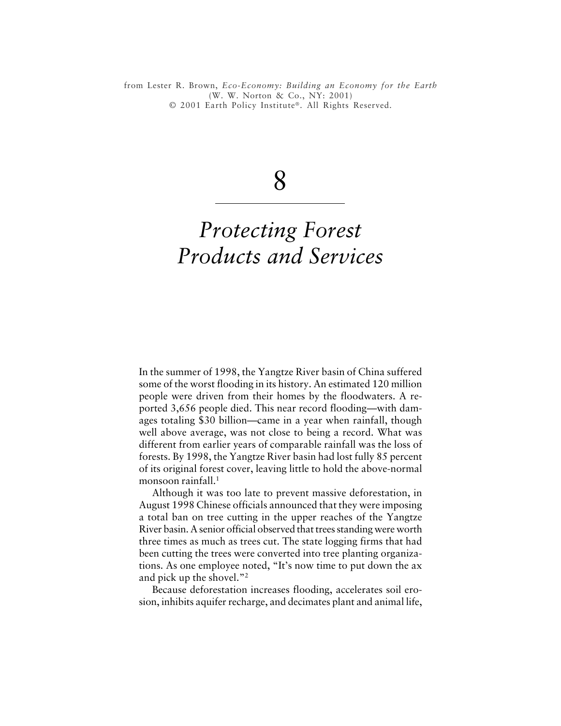*Protecting Forest Products and Services 169* © 2001 Earth Policy Institute®. All Rights Reserved.from Lester R. Brown, *Eco-Economy: Building an Economy for the Earth* (W. W. Norton & Co., NY: 2001)

8

# *Protecting Forest Products and Services*

In the summer of 1998, the Yangtze River basin of China suffered some of the worst flooding in its history. An estimated 120 million people were driven from their homes by the floodwaters. A reported 3,656 people died. This near record flooding—with damages totaling \$30 billion—came in a year when rainfall, though well above average, was not close to being a record. What was different from earlier years of comparable rainfall was the loss of forests. By 1998, the Yangtze River basin had lost fully 85 percent of its original forest cover, leaving little to hold the above-normal monsoon rainfall.<sup>1</sup>

Although it was too late to prevent massive deforestation, in August 1998 Chinese officials announced that they were imposing a total ban on tree cutting in the upper reaches of the Yangtze River basin. A senior official observed that trees standing were worth three times as much as trees cut. The state logging firms that had been cutting the trees were converted into tree planting organizations. As one employee noted, "It's now time to put down the ax and pick up the shovel."<sup>2</sup>

Because deforestation increases flooding, accelerates soil erosion, inhibits aquifer recharge, and decimates plant and animal life,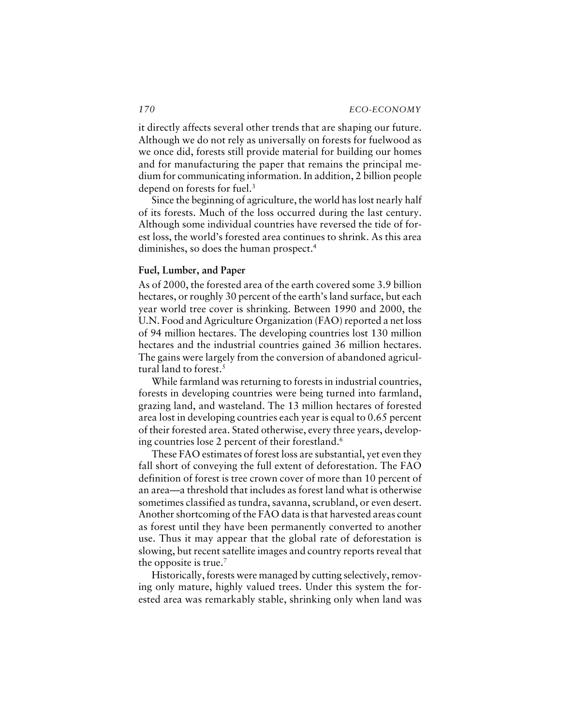it directly affects several other trends that are shaping our future. Although we do not rely as universally on forests for fuelwood as we once did, forests still provide material for building our homes and for manufacturing the paper that remains the principal medium for communicating information. In addition, 2 billion people depend on forests for fuel.<sup>3</sup>

Since the beginning of agriculture, the world has lost nearly half of its forests. Much of the loss occurred during the last century. Although some individual countries have reversed the tide of forest loss, the world's forested area continues to shrink. As this area diminishes, so does the human prospect.<sup>4</sup>

# **Fuel, Lumber, and Paper**

As of 2000, the forested area of the earth covered some 3.9 billion hectares, or roughly 30 percent of the earth's land surface, but each year world tree cover is shrinking. Between 1990 and 2000, the U.N. Food and Agriculture Organization (FAO) reported a net loss of 94 million hectares. The developing countries lost 130 million hectares and the industrial countries gained 36 million hectares. The gains were largely from the conversion of abandoned agricultural land to forest.<sup>5</sup>

While farmland was returning to forests in industrial countries, forests in developing countries were being turned into farmland, grazing land, and wasteland. The 13 million hectares of forested area lost in developing countries each year is equal to 0.65 percent of their forested area. Stated otherwise, every three years, developing countries lose 2 percent of their forestland.<sup>6</sup>

These FAO estimates of forest loss are substantial, yet even they fall short of conveying the full extent of deforestation. The FAO definition of forest is tree crown cover of more than 10 percent of an area—a threshold that includes as forest land what is otherwise sometimes classified as tundra, savanna, scrubland, or even desert. Another shortcoming of the FAO data is that harvested areas count as forest until they have been permanently converted to another use. Thus it may appear that the global rate of deforestation is slowing, but recent satellite images and country reports reveal that the opposite is true.<sup>7</sup>

Historically, forests were managed by cutting selectively, removing only mature, highly valued trees. Under this system the forested area was remarkably stable, shrinking only when land was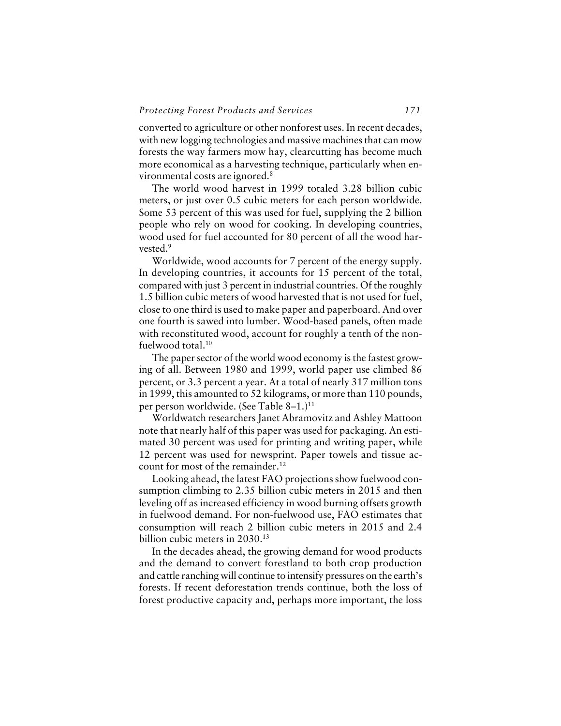converted to agriculture or other nonforest uses. In recent decades, with new logging technologies and massive machines that can mow forests the way farmers mow hay, clearcutting has become much more economical as a harvesting technique, particularly when environmental costs are ignored.<sup>8</sup>

The world wood harvest in 1999 totaled 3.28 billion cubic meters, or just over 0.5 cubic meters for each person worldwide. Some 53 percent of this was used for fuel, supplying the 2 billion people who rely on wood for cooking. In developing countries, wood used for fuel accounted for 80 percent of all the wood harvested.<sup>9</sup>

Worldwide, wood accounts for 7 percent of the energy supply. In developing countries, it accounts for 15 percent of the total, compared with just 3 percent in industrial countries. Of the roughly 1.5 billion cubic meters of wood harvested that is not used for fuel, close to one third is used to make paper and paperboard. And over one fourth is sawed into lumber. Wood-based panels, often made with reconstituted wood, account for roughly a tenth of the nonfuelwood total.<sup>10</sup>

The paper sector of the world wood economy is the fastest growing of all. Between 1980 and 1999, world paper use climbed 86 percent, or 3.3 percent a year. At a total of nearly 317 million tons in 1999, this amounted to 52 kilograms, or more than 110 pounds, per person worldwide. (See Table  $8-1$ .)<sup>11</sup>

Worldwatch researchers Janet Abramovitz and Ashley Mattoon note that nearly half of this paper was used for packaging. An estimated 30 percent was used for printing and writing paper, while 12 percent was used for newsprint. Paper towels and tissue account for most of the remainder.<sup>12</sup>

Looking ahead, the latest FAO projections show fuelwood consumption climbing to 2.35 billion cubic meters in 2015 and then leveling off as increased efficiency in wood burning offsets growth in fuelwood demand. For non-fuelwood use, FAO estimates that consumption will reach 2 billion cubic meters in 2015 and 2.4 billion cubic meters in 2030.<sup>13</sup>

In the decades ahead, the growing demand for wood products and the demand to convert forestland to both crop production and cattle ranching will continue to intensify pressures on the earth's forests. If recent deforestation trends continue, both the loss of forest productive capacity and, perhaps more important, the loss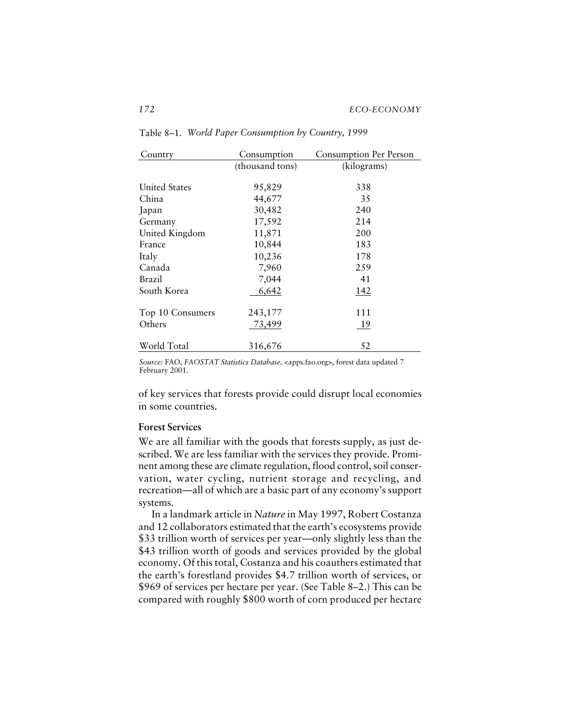| Country              | Consumption     | Consumption Per Person |
|----------------------|-----------------|------------------------|
|                      | (thousand tons) | (kilograms)            |
| <b>United States</b> | 95,829          | 338                    |
| China                | 44,677          | 35                     |
| Japan                | 30,482          | 240                    |
| Germany              | 17,592          | 214                    |
| United Kingdom       | 11,871          | 200                    |
| France               | 10,844          | 183                    |
| Italy                | 10,236          | 178                    |
| Canada               | 7,960           | 259                    |
| Brazil               | 7,044           | 41                     |
| South Korea          | 6,642           | 142                    |
| Top 10 Consumers     | 243,177         | 111                    |
| Others               | 73,499          | <u>19</u>              |
| World Total          | 316,676         | 52                     |

Table 8–1. *World Paper Consumption by Country, 1999*

*Source:* FAO, *FAOSTAT Statistics Database,* <apps.fao.org>, forest data updated 7 February 2001.

of key services that forests provide could disrupt local economies in some countries.

#### **Forest Services**

We are all familiar with the goods that forests supply, as just described. We are less familiar with the services they provide. Prominent among these are climate regulation, flood control, soil conservation, water cycling, nutrient storage and recycling, and recreation—all of which are a basic part of any economy's support systems.

In a landmark article in *Nature* in May 1997, Robert Costanza and 12 collaborators estimated that the earth's ecosystems provide \$33 trillion worth of services per year—only slightly less than the \$43 trillion worth of goods and services provided by the global economy. Of this total, Costanza and his coauthers estimated that the earth's forestland provides \$4.7 trillion worth of services, or \$969 of services per hectare per year. (See Table 8–2.) This can be compared with roughly \$800 worth of corn produced per hectare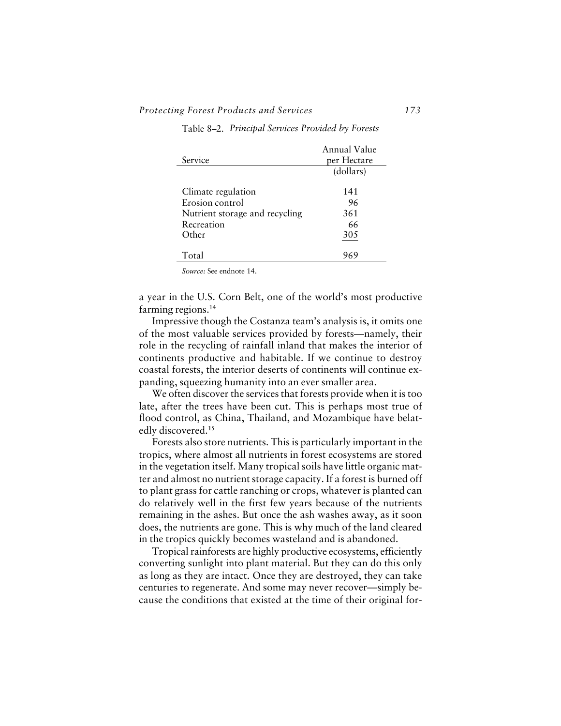| Table 8–2. Principal Services Provided by Forests |  |  |  |  |  |
|---------------------------------------------------|--|--|--|--|--|
|---------------------------------------------------|--|--|--|--|--|

| Annual Value |
|--------------|
| per Hectare  |
| (dollars)    |
|              |
| 141          |
| 96           |
| 361          |
| 66           |
| 305          |
|              |
| 969          |
|              |

*Source:* See endnote 14.

a year in the U.S. Corn Belt, one of the world's most productive farming regions.<sup>14</sup>

Impressive though the Costanza team's analysis is, it omits one of the most valuable services provided by forests—namely, their role in the recycling of rainfall inland that makes the interior of continents productive and habitable. If we continue to destroy coastal forests, the interior deserts of continents will continue expanding, squeezing humanity into an ever smaller area.

We often discover the services that forests provide when it is too late, after the trees have been cut. This is perhaps most true of flood control, as China, Thailand, and Mozambique have belatedly discovered.<sup>15</sup>

Forests also store nutrients. This is particularly important in the tropics, where almost all nutrients in forest ecosystems are stored in the vegetation itself. Many tropical soils have little organic matter and almost no nutrient storage capacity. If a forest is burned off to plant grass for cattle ranching or crops, whatever is planted can do relatively well in the first few years because of the nutrients remaining in the ashes. But once the ash washes away, as it soon does, the nutrients are gone. This is why much of the land cleared in the tropics quickly becomes wasteland and is abandoned.

Tropical rainforests are highly productive ecosystems, efficiently converting sunlight into plant material. But they can do this only as long as they are intact. Once they are destroyed, they can take centuries to regenerate. And some may never recover—simply because the conditions that existed at the time of their original for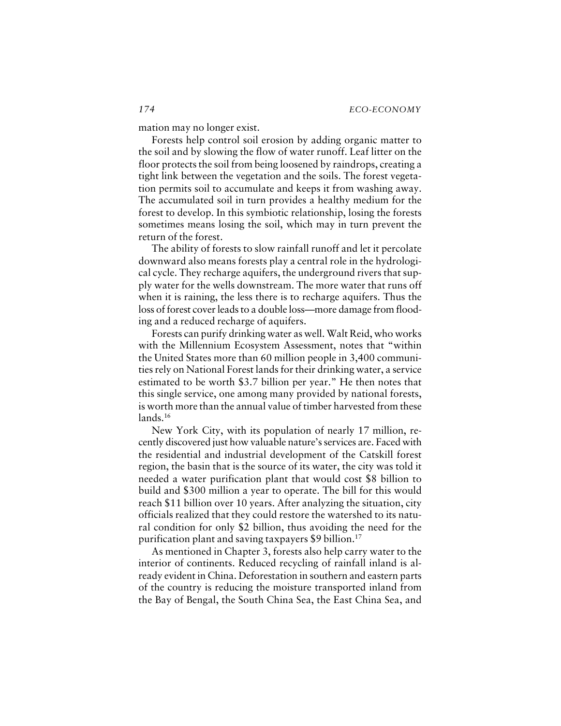mation may no longer exist.

Forests help control soil erosion by adding organic matter to the soil and by slowing the flow of water runoff. Leaf litter on the floor protects the soil from being loosened by raindrops, creating a tight link between the vegetation and the soils. The forest vegetation permits soil to accumulate and keeps it from washing away. The accumulated soil in turn provides a healthy medium for the forest to develop. In this symbiotic relationship, losing the forests sometimes means losing the soil, which may in turn prevent the return of the forest.

The ability of forests to slow rainfall runoff and let it percolate downward also means forests play a central role in the hydrological cycle. They recharge aquifers, the underground rivers that supply water for the wells downstream. The more water that runs off when it is raining, the less there is to recharge aquifers. Thus the loss of forest cover leads to a double loss—more damage from flooding and a reduced recharge of aquifers.

Forests can purify drinking water as well. Walt Reid, who works with the Millennium Ecosystem Assessment, notes that "within the United States more than 60 million people in 3,400 communities rely on National Forest lands for their drinking water, a service estimated to be worth \$3.7 billion per year." He then notes that this single service, one among many provided by national forests, is worth more than the annual value of timber harvested from these lands.<sup>16</sup>

New York City, with its population of nearly 17 million, recently discovered just how valuable nature's services are. Faced with the residential and industrial development of the Catskill forest region, the basin that is the source of its water, the city was told it needed a water purification plant that would cost \$8 billion to build and \$300 million a year to operate. The bill for this would reach \$11 billion over 10 years. After analyzing the situation, city officials realized that they could restore the watershed to its natural condition for only \$2 billion, thus avoiding the need for the purification plant and saving taxpayers \$9 billion.<sup>17</sup>

As mentioned in Chapter 3, forests also help carry water to the interior of continents. Reduced recycling of rainfall inland is already evident in China. Deforestation in southern and eastern parts of the country is reducing the moisture transported inland from the Bay of Bengal, the South China Sea, the East China Sea, and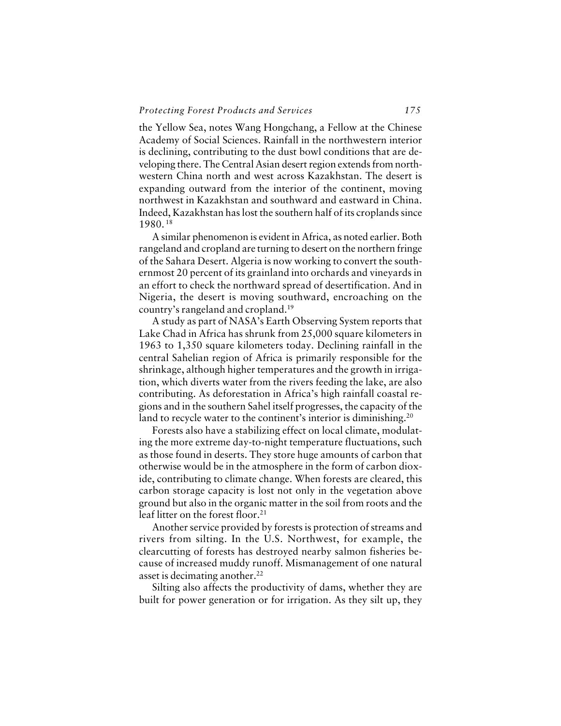the Yellow Sea, notes Wang Hongchang, a Fellow at the Chinese Academy of Social Sciences. Rainfall in the northwestern interior is declining, contributing to the dust bowl conditions that are developing there. The Central Asian desert region extends from northwestern China north and west across Kazakhstan. The desert is expanding outward from the interior of the continent, moving northwest in Kazakhstan and southward and eastward in China. Indeed, Kazakhstan has lost the southern half of its croplands since 1980.<sup>18</sup>

A similar phenomenon is evident in Africa, as noted earlier. Both rangeland and cropland are turning to desert on the northern fringe of the Sahara Desert. Algeria is now working to convert the southernmost 20 percent of its grainland into orchards and vineyards in an effort to check the northward spread of desertification. And in Nigeria, the desert is moving southward, encroaching on the country's rangeland and cropland.<sup>19</sup>

A study as part of NASA's Earth Observing System reports that Lake Chad in Africa has shrunk from 25,000 square kilometers in 1963 to 1,350 square kilometers today. Declining rainfall in the central Sahelian region of Africa is primarily responsible for the shrinkage, although higher temperatures and the growth in irrigation, which diverts water from the rivers feeding the lake, are also contributing. As deforestation in Africa's high rainfall coastal regions and in the southern Sahel itself progresses, the capacity of the land to recycle water to the continent's interior is diminishing.<sup>20</sup>

Forests also have a stabilizing effect on local climate, modulating the more extreme day-to-night temperature fluctuations, such as those found in deserts. They store huge amounts of carbon that otherwise would be in the atmosphere in the form of carbon dioxide, contributing to climate change. When forests are cleared, this carbon storage capacity is lost not only in the vegetation above ground but also in the organic matter in the soil from roots and the leaf litter on the forest floor.<sup>21</sup>

Another service provided by forests is protection of streams and rivers from silting. In the U.S. Northwest, for example, the clearcutting of forests has destroyed nearby salmon fisheries because of increased muddy runoff. Mismanagement of one natural asset is decimating another.<sup>22</sup>

Silting also affects the productivity of dams, whether they are built for power generation or for irrigation. As they silt up, they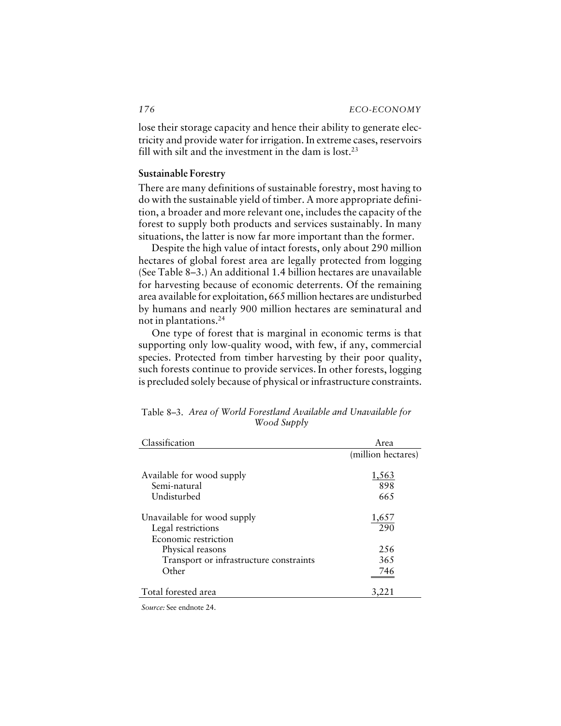lose their storage capacity and hence their ability to generate electricity and provide water for irrigation. In extreme cases, reservoirs fill with silt and the investment in the dam is lost.<sup>23</sup>

## **Sustainable Forestry**

There are many definitions of sustainable forestry, most having to do with the sustainable yield of timber. A more appropriate definition, a broader and more relevant one, includes the capacity of the forest to supply both products and services sustainably. In many situations, the latter is now far more important than the former.

Despite the high value of intact forests, only about 290 million hectares of global forest area are legally protected from logging (See Table 8–3.) An additional 1.4 billion hectares are unavailable for harvesting because of economic deterrents. Of the remaining area available for exploitation, 665 million hectares are undisturbed by humans and nearly 900 million hectares are seminatural and not in plantations.<sup>24</sup>

One type of forest that is marginal in economic terms is that supporting only low-quality wood, with few, if any, commercial species. Protected from timber harvesting by their poor quality, such forests continue to provide services. In other forests, logging is precluded solely because of physical or infrastructure constraints.

| Classification                          | Area               |
|-----------------------------------------|--------------------|
|                                         | (million hectares) |
|                                         |                    |
| Available for wood supply               | 1,563              |
| Semi-natural                            | 898                |
| Undisturbed                             | 665                |
|                                         |                    |
| Unavailable for wood supply             | 1,657              |
| Legal restrictions                      | 290                |
| Economic restriction                    |                    |
| Physical reasons                        | 256                |
| Transport or infrastructure constraints | 365                |
| Other                                   | 746                |
|                                         |                    |
| Total forested area                     | 3,221              |

Table 8–3. *Area of World Forestland Available and Unavailable for Wood Supply*

*Source:* See endnote 24.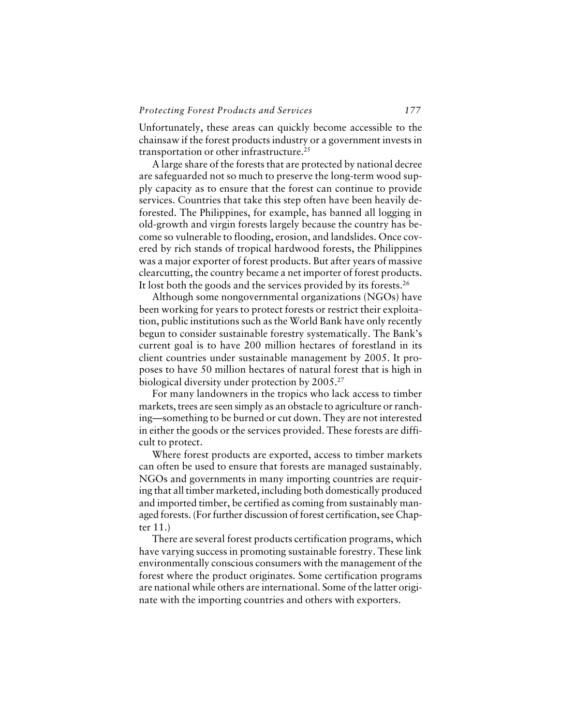# *Protecting Forest Products and Services 177*

Unfortunately, these areas can quickly become accessible to the chainsaw if the forest products industry or a government invests in transportation or other infrastructure.<sup>25</sup>

A large share of the forests that are protected by national decree are safeguarded not so much to preserve the long-term wood supply capacity as to ensure that the forest can continue to provide services. Countries that take this step often have been heavily deforested. The Philippines, for example, has banned all logging in old-growth and virgin forests largely because the country has become so vulnerable to flooding, erosion, and landslides. Once covered by rich stands of tropical hardwood forests, the Philippines was a major exporter of forest products. But after years of massive clearcutting, the country became a net importer of forest products. It lost both the goods and the services provided by its forests.<sup>26</sup>

Although some nongovernmental organizations (NGOs) have been working for years to protect forests or restrict their exploitation, public institutions such as the World Bank have only recently begun to consider sustainable forestry systematically. The Bank's current goal is to have 200 million hectares of forestland in its client countries under sustainable management by 2005. It proposes to have 50 million hectares of natural forest that is high in biological diversity under protection by 2005.<sup>27</sup>

For many landowners in the tropics who lack access to timber markets, trees are seen simply as an obstacle to agriculture or ranching—something to be burned or cut down. They are not interested in either the goods or the services provided. These forests are difficult to protect.

Where forest products are exported, access to timber markets can often be used to ensure that forests are managed sustainably. NGOs and governments in many importing countries are requiring that all timber marketed, including both domestically produced and imported timber, be certified as coming from sustainably managed forests. (For further discussion of forest certification, see Chapter 11.)

There are several forest products certification programs, which have varying success in promoting sustainable forestry. These link environmentally conscious consumers with the management of the forest where the product originates. Some certification programs are national while others are international. Some of the latter originate with the importing countries and others with exporters.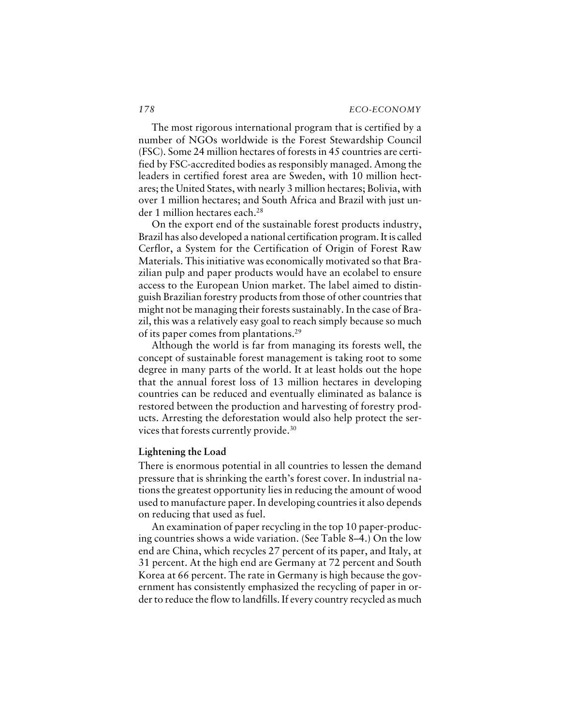### *178 ECO-ECONOMY*

The most rigorous international program that is certified by a number of NGOs worldwide is the Forest Stewardship Council (FSC). Some 24 million hectares of forests in 45 countries are certified by FSC-accredited bodies as responsibly managed. Among the leaders in certified forest area are Sweden, with 10 million hectares; the United States, with nearly 3 million hectares; Bolivia, with over 1 million hectares; and South Africa and Brazil with just under 1 million hectares each.<sup>28</sup>

On the export end of the sustainable forest products industry, Brazil has also developed a national certification program. It is called Cerflor, a System for the Certification of Origin of Forest Raw Materials. This initiative was economically motivated so that Brazilian pulp and paper products would have an ecolabel to ensure access to the European Union market. The label aimed to distinguish Brazilian forestry products from those of other countries that might not be managing their forests sustainably. In the case of Brazil, this was a relatively easy goal to reach simply because so much of its paper comes from plantations.<sup>29</sup>

Although the world is far from managing its forests well, the concept of sustainable forest management is taking root to some degree in many parts of the world. It at least holds out the hope that the annual forest loss of 13 million hectares in developing countries can be reduced and eventually eliminated as balance is restored between the production and harvesting of forestry products. Arresting the deforestation would also help protect the services that forests currently provide.<sup>30</sup>

### **Lightening the Load**

There is enormous potential in all countries to lessen the demand pressure that is shrinking the earth's forest cover. In industrial nations the greatest opportunity lies in reducing the amount of wood used to manufacture paper. In developing countries it also depends on reducing that used as fuel.

An examination of paper recycling in the top 10 paper-producing countries shows a wide variation. (See Table 8–4.) On the low end are China, which recycles 27 percent of its paper, and Italy, at 31 percent. At the high end are Germany at 72 percent and South Korea at 66 percent. The rate in Germany is high because the government has consistently emphasized the recycling of paper in order to reduce the flow to landfills. If every country recycled as much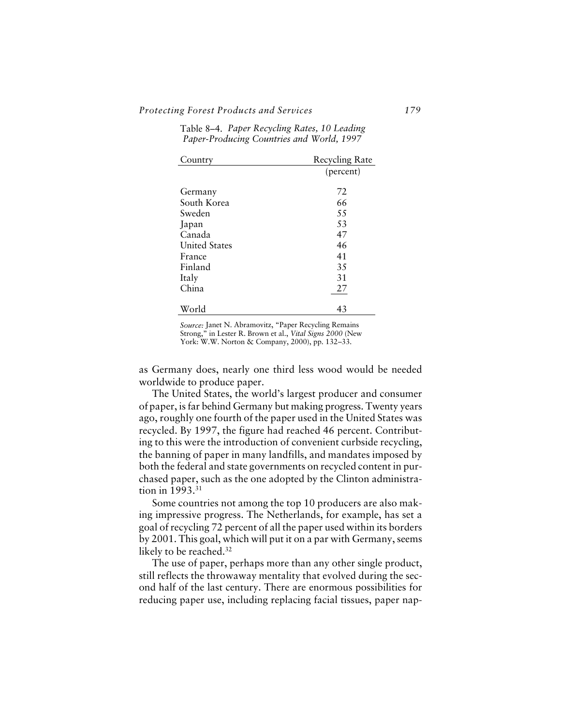#### *Protecting Forest Products and Services 179*

Table 8–4. *Paper Recycling Rates, 10 Leading Paper-Producing Countries and World, 1997*

| Country              | Recycling Rate |  |
|----------------------|----------------|--|
|                      | (percent)      |  |
|                      |                |  |
| Germany              | 72             |  |
| South Korea          | 66             |  |
| Sweden               | 55             |  |
| Japan                | 53             |  |
| Canada               | 47             |  |
| <b>United States</b> | 46             |  |
| France               | 41             |  |
| Finland              | 35             |  |
| Italy                | 31             |  |
| China                | 27             |  |
| World                | 43             |  |

*Source:* Janet N. Abramovitz, "Paper Recycling Remains Strong," in Lester R. Brown et al., *Vital Signs 2000* (New York: W.W. Norton & Company, 2000), pp. 132–33.

as Germany does, nearly one third less wood would be needed worldwide to produce paper.

The United States, the world's largest producer and consumer of paper, is far behind Germany but making progress. Twenty years ago, roughly one fourth of the paper used in the United States was recycled. By 1997, the figure had reached 46 percent. Contributing to this were the introduction of convenient curbside recycling, the banning of paper in many landfills, and mandates imposed by both the federal and state governments on recycled content in purchased paper, such as the one adopted by the Clinton administration in  $1993.31$ 

Some countries not among the top 10 producers are also making impressive progress. The Netherlands, for example, has set a goal of recycling 72 percent of all the paper used within its borders by 2001. This goal, which will put it on a par with Germany, seems likely to be reached.<sup>32</sup>

The use of paper, perhaps more than any other single product, still reflects the throwaway mentality that evolved during the second half of the last century. There are enormous possibilities for reducing paper use, including replacing facial tissues, paper nap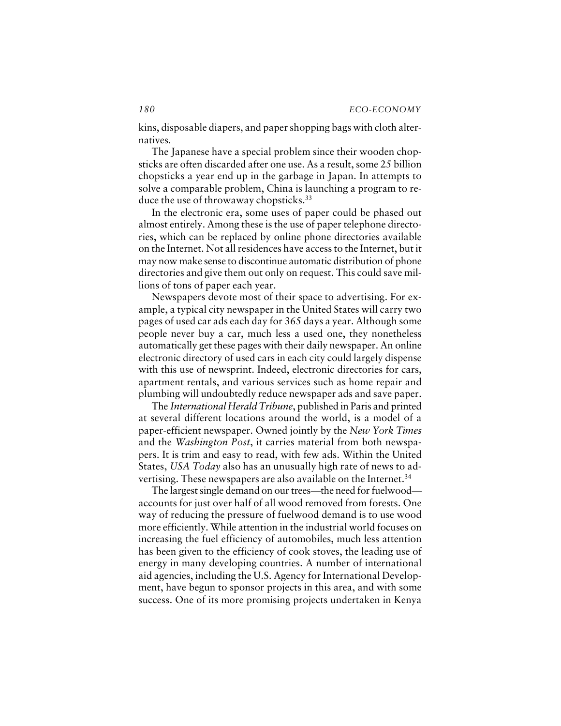kins, disposable diapers, and paper shopping bags with cloth alternatives.

The Japanese have a special problem since their wooden chopsticks are often discarded after one use. As a result, some 25 billion chopsticks a year end up in the garbage in Japan. In attempts to solve a comparable problem, China is launching a program to reduce the use of throwaway chopsticks.<sup>33</sup>

In the electronic era, some uses of paper could be phased out almost entirely. Among these is the use of paper telephone directories, which can be replaced by online phone directories available on the Internet. Not all residences have access to the Internet, but it may now make sense to discontinue automatic distribution of phone directories and give them out only on request. This could save millions of tons of paper each year.

Newspapers devote most of their space to advertising. For example, a typical city newspaper in the United States will carry two pages of used car ads each day for 365 days a year. Although some people never buy a car, much less a used one, they nonetheless automatically get these pages with their daily newspaper. An online electronic directory of used cars in each city could largely dispense with this use of newsprint. Indeed, electronic directories for cars, apartment rentals, and various services such as home repair and plumbing will undoubtedly reduce newspaper ads and save paper.

The *International Herald Tribune*, published in Paris and printed at several different locations around the world, is a model of a paper-efficient newspaper. Owned jointly by the *New York Times* and the *Washington Post*, it carries material from both newspapers. It is trim and easy to read, with few ads. Within the United States, *USA Today* also has an unusually high rate of news to advertising. These newspapers are also available on the Internet.<sup>34</sup>

The largest single demand on our trees—the need for fuelwood accounts for just over half of all wood removed from forests. One way of reducing the pressure of fuelwood demand is to use wood more efficiently. While attention in the industrial world focuses on increasing the fuel efficiency of automobiles, much less attention has been given to the efficiency of cook stoves, the leading use of energy in many developing countries. A number of international aid agencies, including the U.S. Agency for International Development, have begun to sponsor projects in this area, and with some success. One of its more promising projects undertaken in Kenya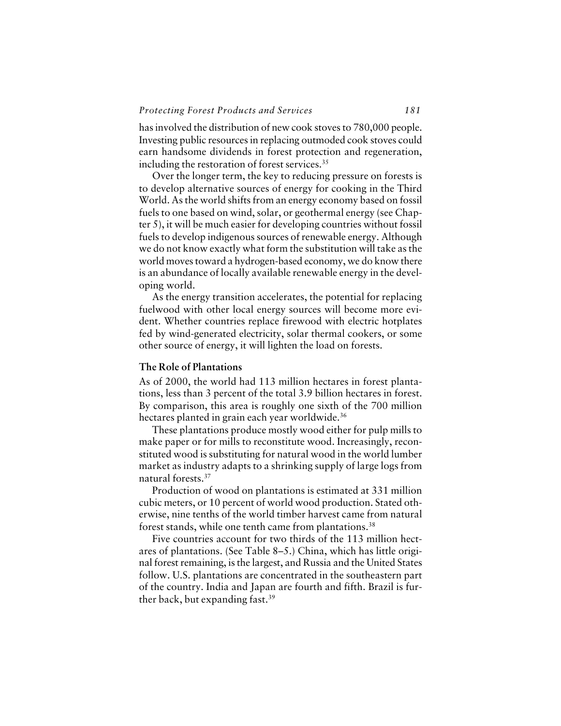has involved the distribution of new cook stoves to 780,000 people. Investing public resources in replacing outmoded cook stoves could earn handsome dividends in forest protection and regeneration, including the restoration of forest services.<sup>35</sup>

Over the longer term, the key to reducing pressure on forests is to develop alternative sources of energy for cooking in the Third World. As the world shifts from an energy economy based on fossil fuels to one based on wind, solar, or geothermal energy (see Chapter 5), it will be much easier for developing countries without fossil fuels to develop indigenous sources of renewable energy. Although we do not know exactly what form the substitution will take as the world moves toward a hydrogen-based economy, we do know there is an abundance of locally available renewable energy in the developing world.

As the energy transition accelerates, the potential for replacing fuelwood with other local energy sources will become more evident. Whether countries replace firewood with electric hotplates fed by wind-generated electricity, solar thermal cookers, or some other source of energy, it will lighten the load on forests.

# **The Role of Plantations**

As of 2000, the world had 113 million hectares in forest plantations, less than 3 percent of the total 3.9 billion hectares in forest. By comparison, this area is roughly one sixth of the 700 million hectares planted in grain each year worldwide.<sup>36</sup>

These plantations produce mostly wood either for pulp mills to make paper or for mills to reconstitute wood. Increasingly, reconstituted wood is substituting for natural wood in the world lumber market as industry adapts to a shrinking supply of large logs from natural forests.<sup>37</sup>

Production of wood on plantations is estimated at 331 million cubic meters, or 10 percent of world wood production. Stated otherwise, nine tenths of the world timber harvest came from natural forest stands, while one tenth came from plantations.<sup>38</sup>

Five countries account for two thirds of the 113 million hectares of plantations. (See Table 8–5.) China, which has little original forest remaining, is the largest, and Russia and the United States follow. U.S. plantations are concentrated in the southeastern part of the country. India and Japan are fourth and fifth. Brazil is further back, but expanding fast.39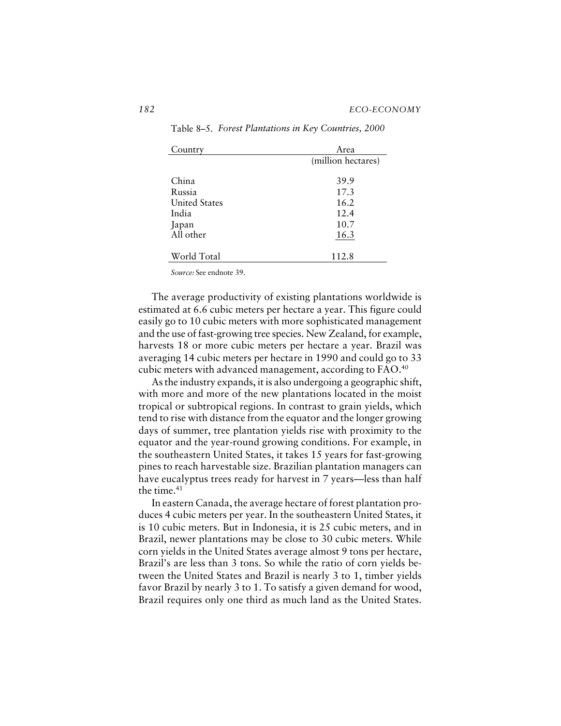| Area               |
|--------------------|
| (million hectares) |
|                    |
| 39.9               |
| 17.3               |
| 16.2               |
| 12.4               |
| 10.7               |
| 16.3               |
| 112.8              |
|                    |

Table 8–5. *Forest Plantations in Key Countries, 2000*

*Source:* See endnote 39.

The average productivity of existing plantations worldwide is estimated at 6.6 cubic meters per hectare a year. This figure could easily go to 10 cubic meters with more sophisticated management and the use of fast-growing tree species. New Zealand, for example, harvests 18 or more cubic meters per hectare a year. Brazil was averaging 14 cubic meters per hectare in 1990 and could go to 33 cubic meters with advanced management, according to FAO.<sup>40</sup>

As the industry expands, it is also undergoing a geographic shift, with more and more of the new plantations located in the moist tropical or subtropical regions. In contrast to grain yields, which tend to rise with distance from the equator and the longer growing days of summer, tree plantation yields rise with proximity to the equator and the year-round growing conditions. For example, in the southeastern United States, it takes 15 years for fast-growing pines to reach harvestable size. Brazilian plantation managers can have eucalyptus trees ready for harvest in 7 years—less than half the time.<sup>41</sup>

In eastern Canada, the average hectare of forest plantation produces 4 cubic meters per year. In the southeastern United States, it is 10 cubic meters. But in Indonesia, it is 25 cubic meters, and in Brazil, newer plantations may be close to 30 cubic meters. While corn yields in the United States average almost 9 tons per hectare, Brazil's are less than 3 tons. So while the ratio of corn yields between the United States and Brazil is nearly 3 to 1, timber yields favor Brazil by nearly 3 to 1. To satisfy a given demand for wood, Brazil requires only one third as much land as the United States.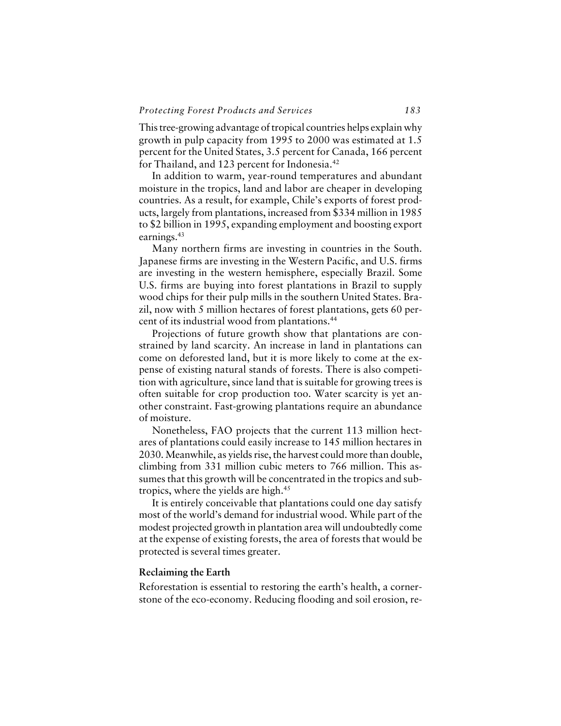# *Protecting Forest Products and Services 183*

This tree-growing advantage of tropical countries helps explain why growth in pulp capacity from 1995 to 2000 was estimated at 1.5 percent for the United States, 3.5 percent for Canada, 166 percent for Thailand, and 123 percent for Indonesia.<sup>42</sup>

In addition to warm, year-round temperatures and abundant moisture in the tropics, land and labor are cheaper in developing countries. As a result, for example, Chile's exports of forest products, largely from plantations, increased from \$334 million in 1985 to \$2 billion in 1995, expanding employment and boosting export earnings.<sup>43</sup>

Many northern firms are investing in countries in the South. Japanese firms are investing in the Western Pacific, and U.S. firms are investing in the western hemisphere, especially Brazil. Some U.S. firms are buying into forest plantations in Brazil to supply wood chips for their pulp mills in the southern United States. Brazil, now with 5 million hectares of forest plantations, gets 60 percent of its industrial wood from plantations.<sup>44</sup>

Projections of future growth show that plantations are constrained by land scarcity. An increase in land in plantations can come on deforested land, but it is more likely to come at the expense of existing natural stands of forests. There is also competition with agriculture, since land that is suitable for growing trees is often suitable for crop production too. Water scarcity is yet another constraint. Fast-growing plantations require an abundance of moisture.

Nonetheless, FAO projects that the current 113 million hectares of plantations could easily increase to 145 million hectares in 2030. Meanwhile, as yields rise, the harvest could more than double, climbing from 331 million cubic meters to 766 million. This assumes that this growth will be concentrated in the tropics and subtropics, where the yields are high.<sup>45</sup>

It is entirely conceivable that plantations could one day satisfy most of the world's demand for industrial wood. While part of the modest projected growth in plantation area will undoubtedly come at the expense of existing forests, the area of forests that would be protected is several times greater.

### **Reclaiming the Earth**

Reforestation is essential to restoring the earth's health, a cornerstone of the eco-economy. Reducing flooding and soil erosion, re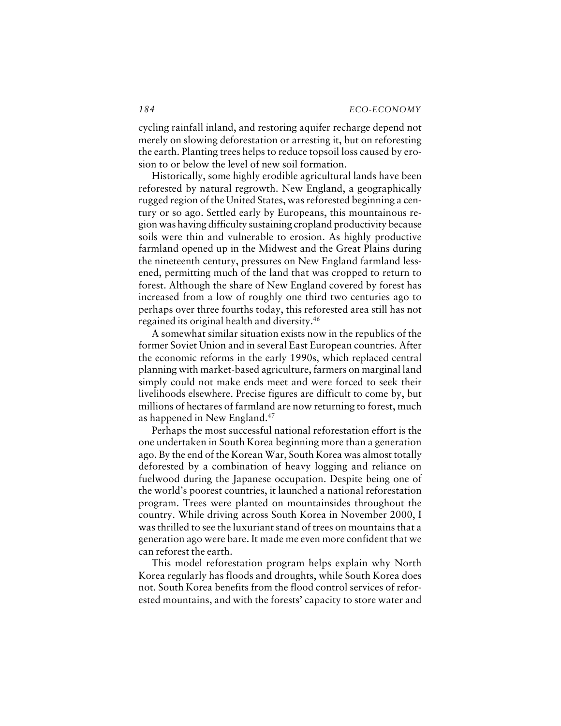cycling rainfall inland, and restoring aquifer recharge depend not merely on slowing deforestation or arresting it, but on reforesting the earth. Planting trees helps to reduce topsoil loss caused by erosion to or below the level of new soil formation.

Historically, some highly erodible agricultural lands have been reforested by natural regrowth. New England, a geographically rugged region of the United States, was reforested beginning a century or so ago. Settled early by Europeans, this mountainous region was having difficulty sustaining cropland productivity because soils were thin and vulnerable to erosion. As highly productive farmland opened up in the Midwest and the Great Plains during the nineteenth century, pressures on New England farmland lessened, permitting much of the land that was cropped to return to forest. Although the share of New England covered by forest has increased from a low of roughly one third two centuries ago to perhaps over three fourths today, this reforested area still has not regained its original health and diversity.<sup>46</sup>

A somewhat similar situation exists now in the republics of the former Soviet Union and in several East European countries. After the economic reforms in the early 1990s, which replaced central planning with market-based agriculture, farmers on marginal land simply could not make ends meet and were forced to seek their livelihoods elsewhere. Precise figures are difficult to come by, but millions of hectares of farmland are now returning to forest, much as happened in New England.<sup>47</sup>

Perhaps the most successful national reforestation effort is the one undertaken in South Korea beginning more than a generation ago. By the end of the Korean War, South Korea was almost totally deforested by a combination of heavy logging and reliance on fuelwood during the Japanese occupation. Despite being one of the world's poorest countries, it launched a national reforestation program. Trees were planted on mountainsides throughout the country. While driving across South Korea in November 2000, I was thrilled to see the luxuriant stand of trees on mountains that a generation ago were bare. It made me even more confident that we can reforest the earth.

This model reforestation program helps explain why North Korea regularly has floods and droughts, while South Korea does not. South Korea benefits from the flood control services of reforested mountains, and with the forests' capacity to store water and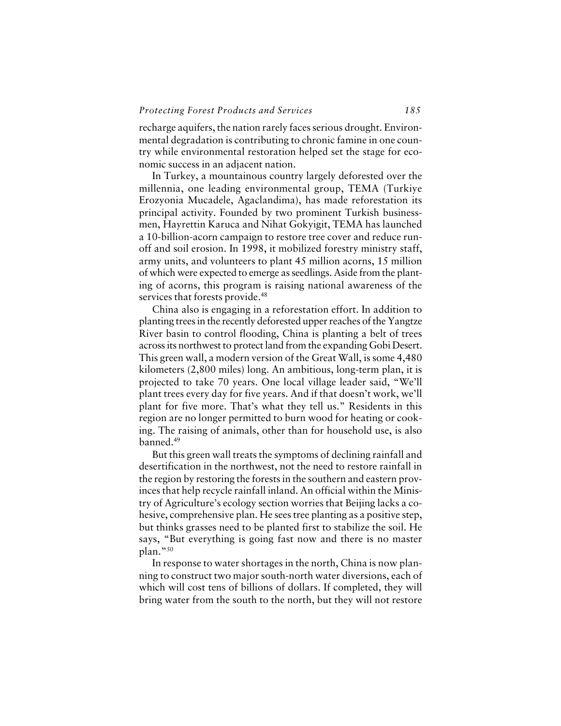recharge aquifers, the nation rarely faces serious drought. Environmental degradation is contributing to chronic famine in one country while environmental restoration helped set the stage for economic success in an adjacent nation.

In Turkey, a mountainous country largely deforested over the millennia, one leading environmental group, TEMA (Turkiye Erozyonia Mucadele, Agaclandima), has made reforestation its principal activity. Founded by two prominent Turkish businessmen, Hayrettin Karuca and Nihat Gokyigit, TEMA has launched a 10-billion-acorn campaign to restore tree cover and reduce runoff and soil erosion. In 1998, it mobilized forestry ministry staff, army units, and volunteers to plant 45 million acorns, 15 million of which were expected to emerge as seedlings. Aside from the planting of acorns, this program is raising national awareness of the services that forests provide.<sup>48</sup>

China also is engaging in a reforestation effort. In addition to planting trees in the recently deforested upper reaches of the Yangtze River basin to control flooding, China is planting a belt of trees across its northwest to protect land from the expanding Gobi Desert. This green wall, a modern version of the Great Wall, is some 4,480 kilometers (2,800 miles) long. An ambitious, long-term plan, it is projected to take 70 years. One local village leader said, "We'll plant trees every day for five years. And if that doesn't work, we'll plant for five more. That's what they tell us." Residents in this region are no longer permitted to burn wood for heating or cooking. The raising of animals, other than for household use, is also banned.<sup>49</sup>

But this green wall treats the symptoms of declining rainfall and desertification in the northwest, not the need to restore rainfall in the region by restoring the forests in the southern and eastern provinces that help recycle rainfall inland. An official within the Ministry of Agriculture's ecology section worries that Beijing lacks a cohesive, comprehensive plan. He sees tree planting as a positive step, but thinks grasses need to be planted first to stabilize the soil. He says, "But everything is going fast now and there is no master plan."<sup>50</sup>

In response to water shortages in the north, China is now planning to construct two major south-north water diversions, each of which will cost tens of billions of dollars. If completed, they will bring water from the south to the north, but they will not restore